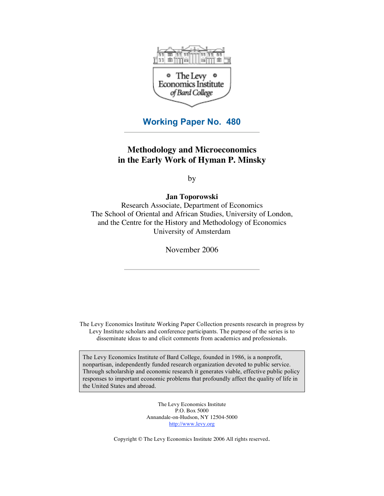

**Working Paper No. 480**

# **Methodology and Microeconomics in the Early Work of Hyman P. Minsky**

by

**Jan Toporowski**

Research Associate, Department of Economics The School of Oriental and African Studies, University of London, and the Centre for the History and Methodology of Economics University of Amsterdam

November 2006

The Levy Economics Institute Working Paper Collection presents research in progress by Levy Institute scholars and conference participants. The purpose of the series is to disseminate ideas to and elicit comments from academics and professionals.

The Levy Economics Institute of Bard College, founded in 1986, is a nonprofit, nonpartisan, independently funded research organization devoted to public service. Through scholarship and economic research it generates viable, effective public policy responses to important economic problems that profoundly affect the quality of life in the United States and abroad.

> The Levy Economics Institute P.O. Box 5000 Annandale-on-Hudson, NY 12504-5000 http://www.levy.org

Copyright © The Levy Economics Institute 2006 All rights reserved.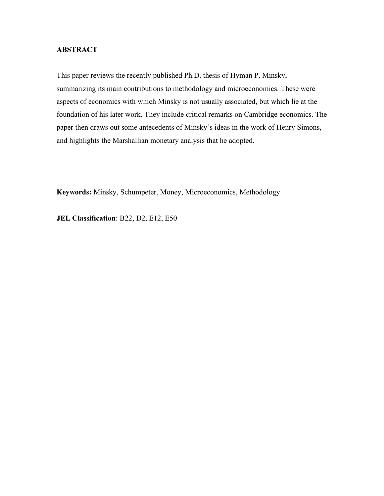# **ABSTRACT**

This paper reviews the recently published Ph.D. thesis of Hyman P. Minsky, summarizing its main contributions to methodology and microeconomics. These were aspects of economics with which Minsky is not usually associated, but which lie at the foundation of his later work. They include critical remarks on Cambridge economics. The paper then draws out some antecedents of Minsky's ideas in the work of Henry Simons, and highlights the Marshallian monetary analysis that he adopted.

**Keywords:** Minsky, Schumpeter, Money, Microeconomics, Methodology

**JEL Classification**: B22, D2, E12, E50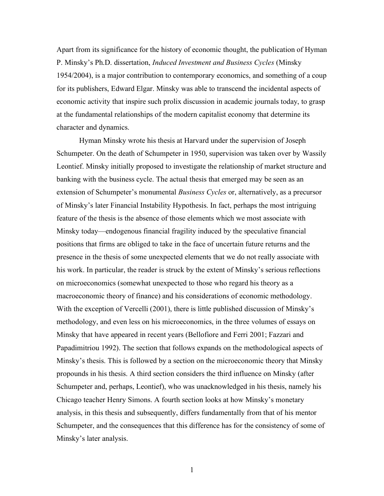Apart from its significance for the history of economic thought, the publication of Hyman P. Minsky's Ph.D. dissertation, *Induced Investment and Business Cycles* (Minsky 1954/2004), is a major contribution to contemporary economics, and something of a coup for its publishers, Edward Elgar. Minsky was able to transcend the incidental aspects of economic activity that inspire such prolix discussion in academic journals today, to grasp at the fundamental relationships of the modern capitalist economy that determine its character and dynamics.

Hyman Minsky wrote his thesis at Harvard under the supervision of Joseph Schumpeter. On the death of Schumpeter in 1950, supervision was taken over by Wassily Leontief. Minsky initially proposed to investigate the relationship of market structure and banking with the business cycle. The actual thesis that emerged may be seen as an extension of Schumpeter's monumental *Business Cycles* or, alternatively, as a precursor of Minsky's later Financial Instability Hypothesis. In fact, perhaps the most intriguing feature of the thesis is the absence of those elements which we most associate with Minsky today—endogenous financial fragility induced by the speculative financial positions that firms are obliged to take in the face of uncertain future returns and the presence in the thesis of some unexpected elements that we do not really associate with his work. In particular, the reader is struck by the extent of Minsky's serious reflections on microeconomics (somewhat unexpected to those who regard his theory as a macroeconomic theory of finance) and his considerations of economic methodology. With the exception of Vercelli (2001), there is little published discussion of Minsky's methodology, and even less on his microeconomics, in the three volumes of essays on Minsky that have appeared in recent years (Bellofiore and Ferri 2001; Fazzari and Papadimitriou 1992). The section that follows expands on the methodological aspects of Minsky's thesis. This is followed by a section on the microeconomic theory that Minsky propounds in his thesis. A third section considers the third influence on Minsky (after Schumpeter and, perhaps, Leontief), who was unacknowledged in his thesis, namely his Chicago teacher Henry Simons. A fourth section looks at how Minsky's monetary analysis, in this thesis and subsequently, differs fundamentally from that of his mentor Schumpeter, and the consequences that this difference has for the consistency of some of Minsky's later analysis.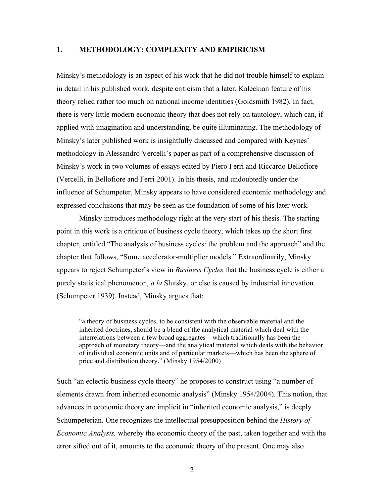#### **1. METHODOLOGY: COMPLEXITY AND EMPIRICISM**

Minsky's methodology is an aspect of his work that he did not trouble himself to explain in detail in his published work, despite criticism that a later, Kaleckian feature of his theory relied rather too much on national income identities (Goldsmith 1982). In fact, there is very little modern economic theory that does not rely on tautology, which can, if applied with imagination and understanding, be quite illuminating. The methodology of Minsky's later published work is insightfully discussed and compared with Keynes' methodology in Alessandro Vercelli's paper as part of a comprehensive discussion of Minsky's work in two volumes of essays edited by Piero Ferri and Riccardo Bellofiore (Vercelli, in Bellofiore and Ferri 2001). In his thesis, and undoubtedly under the influence of Schumpeter, Minsky appears to have considered economic methodology and expressed conclusions that may be seen as the foundation of some of his later work.

Minsky introduces methodology right at the very start of his thesis. The starting point in this work is a critique of business cycle theory, which takes up the short first chapter, entitled "The analysis of business cycles: the problem and the approach" and the chapter that follows, "Some accelerator-multiplier models." Extraordinarily, Minsky appears to reject Schumpeter's view in *Business Cycles* that the business cycle is either a purely statistical phenomenon, *a la* Slutsky, or else is caused by industrial innovation (Schumpeter 1939). Instead, Minsky argues that:

"a theory of business cycles, to be consistent with the observable material and the inherited doctrines, should be a blend of the analytical material which deal with the interrelations between a few broad aggregates—which traditionally has been the approach of monetary theory—and the analytical material which deals with the behavior of individual economic units and of particular markets—which has been the sphere of price and distribution theory." (Minsky 1954/2000)

Such "an eclectic business cycle theory" he proposes to construct using "a number of elements drawn from inherited economic analysis" (Minsky 1954/2004). This notion, that advances in economic theory are implicit in "inherited economic analysis," is deeply Schumpeterian. One recognizes the intellectual presupposition behind the *History of Economic Analysis,* whereby the economic theory of the past, taken together and with the error sifted out of it, amounts to the economic theory of the present. One may also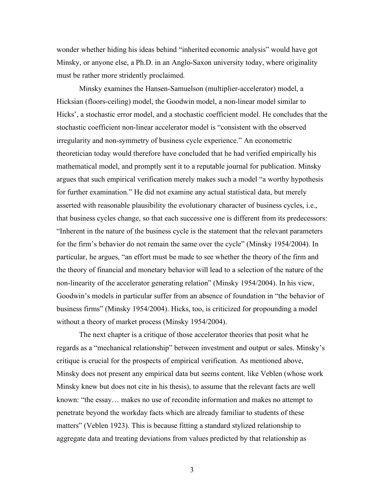wonder whether hiding his ideas behind "inherited economic analysis" would have got Minsky, or anyone else, a Ph.D. in an Anglo-Saxon university today, where originality must be rather more stridently proclaimed.

Minsky examines the Hansen-Samuelson (multiplier-accelerator) model, a Hicksian (floors-ceiling) model, the Goodwin model, a non-linear model similar to Hicks', a stochastic error model, and a stochastic coefficient model. He concludes that the stochastic coefficient non-linear accelerator model is "consistent with the observed irregularity and non-symmetry of business cycle experience." An econometric theoretician today would therefore have concluded that he had verified empirically his mathematical model, and promptly sent it to a reputable journal for publication. Minsky argues that such empirical verification merely makes such a model "a worthy hypothesis for further examination." He did not examine any actual statistical data, but merely asserted with reasonable plausibility the evolutionary character of business cycles, i.e., that business cycles change, so that each successive one is different from its predecessors: "Inherent in the nature of the business cycle is the statement that the relevant parameters for the firm's behavior do not remain the same over the cycle" (Minsky 1954/2004). In particular, he argues, "an effort must be made to see whether the theory of the firm and the theory of financial and monetary behavior will lead to a selection of the nature of the non-linearity of the accelerator generating relation" (Minsky 1954/2004). In his view, Goodwin's models in particular suffer from an absence of foundation in "the behavior of business firms" (Minsky 1954/2004). Hicks, too, is criticized for propounding a model without a theory of market process (Minsky 1954/2004).

The next chapter is a critique of those accelerator theories that posit what he regards as a "mechanical relationship" between investment and output or sales. Minsky's critique is crucial for the prospects of empirical verification. As mentioned above, Minsky does not present any empirical data but seems content, like Veblen (whose work Minsky knew but does not cite in his thesis), to assume that the relevant facts are well known: "the essay… makes no use of recondite information and makes no attempt to penetrate beyond the workday facts which are already familiar to students of these matters" (Veblen 1923). This is because fitting a standard stylized relationship to aggregate data and treating deviations from values predicted by that relationship as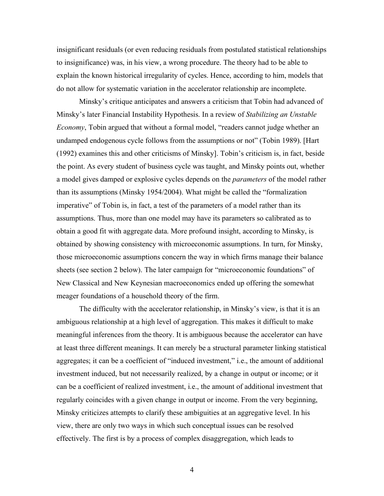insignificant residuals (or even reducing residuals from postulated statistical relationships to insignificance) was, in his view, a wrong procedure. The theory had to be able to explain the known historical irregularity of cycles. Hence, according to him, models that do not allow for systematic variation in the accelerator relationship are incomplete.

Minsky's critique anticipates and answers a criticism that Tobin had advanced of Minsky's later Financial Instability Hypothesis. In a review of *Stabilizing an Unstable Economy*, Tobin argued that without a formal model, "readers cannot judge whether an undamped endogenous cycle follows from the assumptions or not" (Tobin 1989). [Hart (1992) examines this and other criticisms of Minsky]. Tobin's criticism is, in fact, beside the point. As every student of business cycle was taught, and Minsky points out, whether a model gives damped or explosive cycles depends on the *parameters* of the model rather than its assumptions (Minsky 1954/2004). What might be called the "formalization imperative" of Tobin is, in fact, a test of the parameters of a model rather than its assumptions. Thus, more than one model may have its parameters so calibrated as to obtain a good fit with aggregate data. More profound insight, according to Minsky, is obtained by showing consistency with microeconomic assumptions. In turn, for Minsky, those microeconomic assumptions concern the way in which firms manage their balance sheets (see section 2 below). The later campaign for "microeconomic foundations" of New Classical and New Keynesian macroeconomics ended up offering the somewhat meager foundations of a household theory of the firm.

The difficulty with the accelerator relationship, in Minsky's view, is that it is an ambiguous relationship at a high level of aggregation. This makes it difficult to make meaningful inferences from the theory. It is ambiguous because the accelerator can have at least three different meanings. It can merely be a structural parameter linking statistical aggregates; it can be a coefficient of "induced investment," i.e., the amount of additional investment induced, but not necessarily realized, by a change in output or income; or it can be a coefficient of realized investment, i.e., the amount of additional investment that regularly coincides with a given change in output or income. From the very beginning, Minsky criticizes attempts to clarify these ambiguities at an aggregative level. In his view, there are only two ways in which such conceptual issues can be resolved effectively. The first is by a process of complex disaggregation, which leads to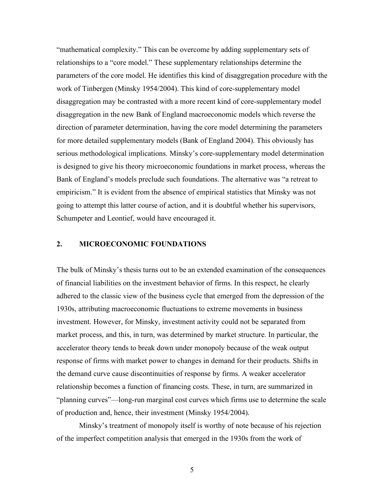"mathematical complexity." This can be overcome by adding supplementary sets of relationships to a "core model." These supplementary relationships determine the parameters of the core model. He identifies this kind of disaggregation procedure with the work of Tinbergen (Minsky 1954/2004). This kind of core-supplementary model disaggregation may be contrasted with a more recent kind of core-supplementary model disaggregation in the new Bank of England macroeconomic models which reverse the direction of parameter determination, having the core model determining the parameters for more detailed supplementary models (Bank of England 2004). This obviously has serious methodological implications. Minsky's core-supplementary model determination is designed to give his theory microeconomic foundations in market process, whereas the Bank of England's models preclude such foundations. The alternative was "a retreat to empiricism." It is evident from the absence of empirical statistics that Minsky was not going to attempt this latter course of action, and it is doubtful whether his supervisors, Schumpeter and Leontief, would have encouraged it.

# **2. MICROECONOMIC FOUNDATIONS**

The bulk of Minsky's thesis turns out to be an extended examination of the consequences of financial liabilities on the investment behavior of firms. In this respect, he clearly adhered to the classic view of the business cycle that emerged from the depression of the 1930s, attributing macroeconomic fluctuations to extreme movements in business investment. However, for Minsky, investment activity could not be separated from market process, and this, in turn, was determined by market structure. In particular, the accelerator theory tends to break down under monopoly because of the weak output response of firms with market power to changes in demand for their products. Shifts in the demand curve cause discontinuities of response by firms. A weaker accelerator relationship becomes a function of financing costs. These, in turn, are summarized in "planning curves"—long-run marginal cost curves which firms use to determine the scale of production and, hence, their investment (Minsky 1954/2004).

Minsky's treatment of monopoly itself is worthy of note because of his rejection of the imperfect competition analysis that emerged in the 1930s from the work of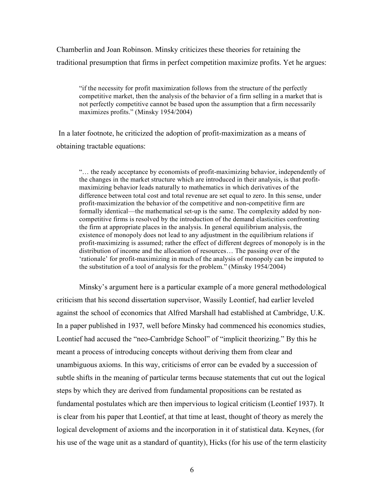Chamberlin and Joan Robinson. Minsky criticizes these theories for retaining the traditional presumption that firms in perfect competition maximize profits. Yet he argues:

"if the necessity for profit maximization follows from the structure of the perfectly competitive market, then the analysis of the behavior of a firm selling in a market that is not perfectly competitive cannot be based upon the assumption that a firm necessarily maximizes profits." (Minsky 1954/2004)

In a later footnote, he criticized the adoption of profit-maximization as a means of obtaining tractable equations:

"… the ready acceptance by economists of profit-maximizing behavior, independently of the changes in the market structure which are introduced in their analysis, is that profitmaximizing behavior leads naturally to mathematics in which derivatives of the difference between total cost and total revenue are set equal to zero. In this sense, under profit-maximization the behavior of the competitive and non-competitive firm are formally identical—the mathematical set-up is the same. The complexity added by noncompetitive firms is resolved by the introduction of the demand elasticities confronting the firm at appropriate places in the analysis. In general equilibrium analysis, the existence of monopoly does not lead to any adjustment in the equilibrium relations if profit-maximizing is assumed; rather the effect of different degrees of monopoly is in the distribution of income and the allocation of resources… The passing over of the 'rationale' for profit-maximizing in much of the analysis of monopoly can be imputed to the substitution of a tool of analysis for the problem." (Minsky 1954/2004)

Minsky's argument here is a particular example of a more general methodological criticism that his second dissertation supervisor, Wassily Leontief, had earlier leveled against the school of economics that Alfred Marshall had established at Cambridge, U.K. In a paper published in 1937, well before Minsky had commenced his economics studies, Leontief had accused the "neo-Cambridge School" of "implicit theorizing." By this he meant a process of introducing concepts without deriving them from clear and unambiguous axioms. In this way, criticisms of error can be evaded by a succession of subtle shifts in the meaning of particular terms because statements that cut out the logical steps by which they are derived from fundamental propositions can be restated as fundamental postulates which are then impervious to logical criticism (Leontief 1937). It is clear from his paper that Leontief, at that time at least, thought of theory as merely the logical development of axioms and the incorporation in it of statistical data. Keynes, (for his use of the wage unit as a standard of quantity), Hicks (for his use of the term elasticity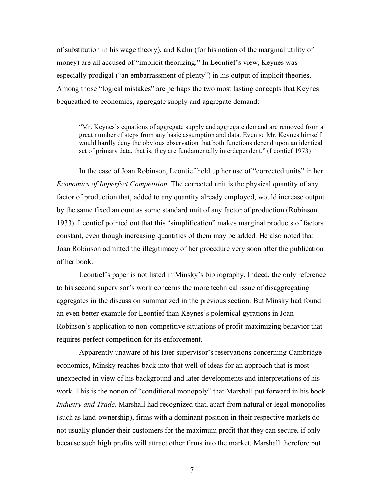of substitution in his wage theory), and Kahn (for his notion of the marginal utility of money) are all accused of "implicit theorizing." In Leontief's view, Keynes was especially prodigal ("an embarrassment of plenty") in his output of implicit theories. Among those "logical mistakes" are perhaps the two most lasting concepts that Keynes bequeathed to economics, aggregate supply and aggregate demand:

"Mr. Keynes's equations of aggregate supply and aggregate demand are removed from a great number of steps from any basic assumption and data. Even so Mr. Keynes himself would hardly deny the obvious observation that both functions depend upon an identical set of primary data, that is, they are fundamentally interdependent." (Leontief 1973)

In the case of Joan Robinson, Leontief held up her use of "corrected units" in her *Economics of Imperfect Competition*. The corrected unit is the physical quantity of any factor of production that, added to any quantity already employed, would increase output by the same fixed amount as some standard unit of any factor of production (Robinson 1933). Leontief pointed out that this "simplification" makes marginal products of factors constant, even though increasing quantities of them may be added. He also noted that Joan Robinson admitted the illegitimacy of her procedure very soon after the publication of her book.

Leontief's paper is not listed in Minsky's bibliography. Indeed, the only reference to his second supervisor's work concerns the more technical issue of disaggregating aggregates in the discussion summarized in the previous section. But Minsky had found an even better example for Leontief than Keynes's polemical gyrations in Joan Robinson's application to non-competitive situations of profit-maximizing behavior that requires perfect competition for its enforcement.

Apparently unaware of his later supervisor's reservations concerning Cambridge economics, Minsky reaches back into that well of ideas for an approach that is most unexpected in view of his background and later developments and interpretations of his work. This is the notion of "conditional monopoly" that Marshall put forward in his book *Industry and Trade*. Marshall had recognized that, apart from natural or legal monopolies (such as land-ownership), firms with a dominant position in their respective markets do not usually plunder their customers for the maximum profit that they can secure, if only because such high profits will attract other firms into the market. Marshall therefore put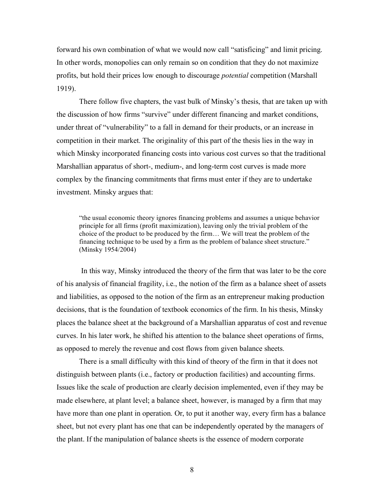forward his own combination of what we would now call "satisficing" and limit pricing. In other words, monopolies can only remain so on condition that they do not maximize profits, but hold their prices low enough to discourage *potential* competition (Marshall 1919).

There follow five chapters, the vast bulk of Minsky's thesis, that are taken up with the discussion of how firms "survive" under different financing and market conditions, under threat of "vulnerability" to a fall in demand for their products, or an increase in competition in their market. The originality of this part of the thesis lies in the way in which Minsky incorporated financing costs into various cost curves so that the traditional Marshallian apparatus of short-, medium-, and long-term cost curves is made more complex by the financing commitments that firms must enter if they are to undertake investment. Minsky argues that:

"the usual economic theory ignores financing problems and assumes a unique behavior principle for all firms (profit maximization), leaving only the trivial problem of the choice of the product to be produced by the firm… We will treat the problem of the financing technique to be used by a firm as the problem of balance sheet structure." (Minsky 1954/2004)

In this way, Minsky introduced the theory of the firm that was later to be the core of his analysis of financial fragility, i.e., the notion of the firm as a balance sheet of assets and liabilities, as opposed to the notion of the firm as an entrepreneur making production decisions, that is the foundation of textbook economics of the firm. In his thesis, Minsky places the balance sheet at the background of a Marshallian apparatus of cost and revenue curves. In his later work, he shifted his attention to the balance sheet operations of firms, as opposed to merely the revenue and cost flows from given balance sheets.

There is a small difficulty with this kind of theory of the firm in that it does not distinguish between plants (i.e., factory or production facilities) and accounting firms. Issues like the scale of production are clearly decision implemented, even if they may be made elsewhere, at plant level; a balance sheet, however, is managed by a firm that may have more than one plant in operation. Or, to put it another way, every firm has a balance sheet, but not every plant has one that can be independently operated by the managers of the plant. If the manipulation of balance sheets is the essence of modern corporate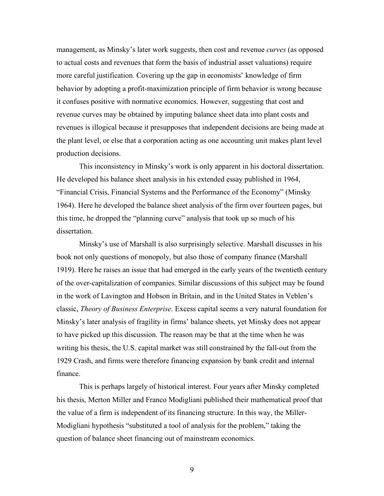management, as Minsky's later work suggests, then cost and revenue *curves* (as opposed to actual costs and revenues that form the basis of industrial asset valuations) require more careful justification. Covering up the gap in economists' knowledge of firm behavior by adopting a profit-maximization principle of firm behavior is wrong because it confuses positive with normative economics. However, suggesting that cost and revenue curves may be obtained by imputing balance sheet data into plant costs and revenues is illogical because it presupposes that independent decisions are being made at the plant level, or else that a corporation acting as one accounting unit makes plant level production decisions.

This inconsistency in Minsky's work is only apparent in his doctoral dissertation. He developed his balance sheet analysis in his extended essay published in 1964, "Financial Crisis, Financial Systems and the Performance of the Economy" (Minsky 1964). Here he developed the balance sheet analysis of the firm over fourteen pages, but this time, he dropped the "planning curve" analysis that took up so much of his dissertation.

Minsky's use of Marshall is also surprisingly selective. Marshall discusses in his book not only questions of monopoly, but also those of company finance (Marshall 1919). Here he raises an issue that had emerged in the early years of the twentieth century of the over-capitalization of companies. Similar discussions of this subject may be found in the work of Lavington and Hobson in Britain, and in the United States in Veblen's classic, *Theory of Business Enterprise*. Excess capital seems a very natural foundation for Minsky's later analysis of fragility in firms' balance sheets, yet Minsky does not appear to have picked up this discussion. The reason may be that at the time when he was writing his thesis, the U.S. capital market was still constrained by the fall-out from the 1929 Crash, and firms were therefore financing expansion by bank credit and internal finance.

This is perhaps largely of historical interest. Four years after Minsky completed his thesis, Merton Miller and Franco Modigliani published their mathematical proof that the value of a firm is independent of its financing structure. In this way, the Miller-Modigliani hypothesis "substituted a tool of analysis for the problem," taking the question of balance sheet financing out of mainstream economics.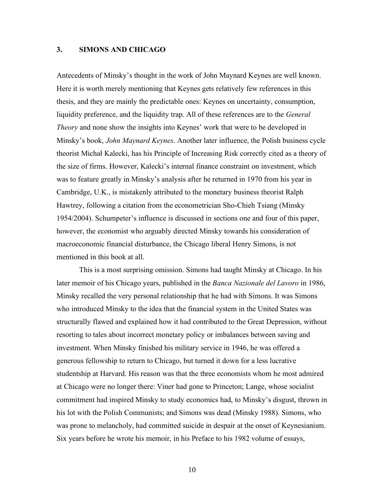# **3. SIMONS AND CHICAGO**

Antecedents of Minsky's thought in the work of John Maynard Keynes are well known. Here it is worth merely mentioning that Keynes gets relatively few references in this thesis, and they are mainly the predictable ones: Keynes on uncertainty, consumption, liquidity preference, and the liquidity trap. All of these references are to the *General Theory* and none show the insights into Keynes' work that were to be developed in Minsky's book, *John Maynard Keynes*. Another later influence, the Polish business cycle theorist Michał Kalecki, has his Principle of Increasing Risk correctly cited as a theory of the size of firms. However, Kalecki's internal finance constraint on investment, which was to feature greatly in Minsky's analysis after he returned in 1970 from his year in Cambridge, U.K., is mistakenly attributed to the monetary business theorist Ralph Hawtrey, following a citation from the econometrician Sho-Chieh Tsiang (Minsky 1954/2004). Schumpeter's influence is discussed in sections one and four of this paper, however, the economist who arguably directed Minsky towards his consideration of macroeconomic financial disturbance, the Chicago liberal Henry Simons, is not mentioned in this book at all.

This is a most surprising omission. Simons had taught Minsky at Chicago. In his later memoir of his Chicago years, published in the *Banca Nazionale del Lavoro* in 1986, Minsky recalled the very personal relationship that he had with Simons. It was Simons who introduced Minsky to the idea that the financial system in the United States was structurally flawed and explained how it had contributed to the Great Depression, without resorting to tales about incorrect monetary policy or imbalances between saving and investment. When Minsky finished his military service in 1946, he was offered a generous fellowship to return to Chicago, but turned it down for a less lucrative studentship at Harvard. His reason was that the three economists whom he most admired at Chicago were no longer there: Viner had gone to Princeton; Lange, whose socialist commitment had inspired Minsky to study economics had, to Minsky's disgust, thrown in his lot with the Polish Communists; and Simons was dead (Minsky 1988). Simons, who was prone to melancholy, had committed suicide in despair at the onset of Keynesianism. Six years before he wrote his memoir, in his Preface to his 1982 volume of essays,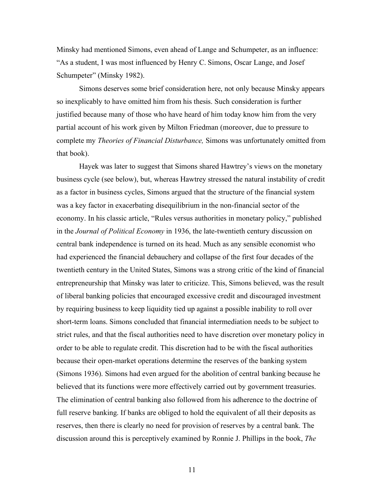Minsky had mentioned Simons, even ahead of Lange and Schumpeter, as an influence: "As a student, I was most influenced by Henry C. Simons, Oscar Lange, and Josef Schumpeter" (Minsky 1982).

Simons deserves some brief consideration here, not only because Minsky appears so inexplicably to have omitted him from his thesis. Such consideration is further justified because many of those who have heard of him today know him from the very partial account of his work given by Milton Friedman (moreover, due to pressure to complete my *Theories of Financial Disturbance,* Simons was unfortunately omitted from that book).

Hayek was later to suggest that Simons shared Hawtrey's views on the monetary business cycle (see below), but, whereas Hawtrey stressed the natural instability of credit as a factor in business cycles, Simons argued that the structure of the financial system was a key factor in exacerbating disequilibrium in the non-financial sector of the economy. In his classic article, "Rules versus authorities in monetary policy," published in the *Journal of Political Economy* in 1936, the late-twentieth century discussion on central bank independence is turned on its head. Much as any sensible economist who had experienced the financial debauchery and collapse of the first four decades of the twentieth century in the United States, Simons was a strong critic of the kind of financial entrepreneurship that Minsky was later to criticize. This, Simons believed, was the result of liberal banking policies that encouraged excessive credit and discouraged investment by requiring business to keep liquidity tied up against a possible inability to roll over short-term loans. Simons concluded that financial intermediation needs to be subject to strict rules, and that the fiscal authorities need to have discretion over monetary policy in order to be able to regulate credit. This discretion had to be with the fiscal authorities because their open-market operations determine the reserves of the banking system (Simons 1936). Simons had even argued for the abolition of central banking because he believed that its functions were more effectively carried out by government treasuries. The elimination of central banking also followed from his adherence to the doctrine of full reserve banking. If banks are obliged to hold the equivalent of all their deposits as reserves, then there is clearly no need for provision of reserves by a central bank. The discussion around this is perceptively examined by Ronnie J. Phillips in the book, *The*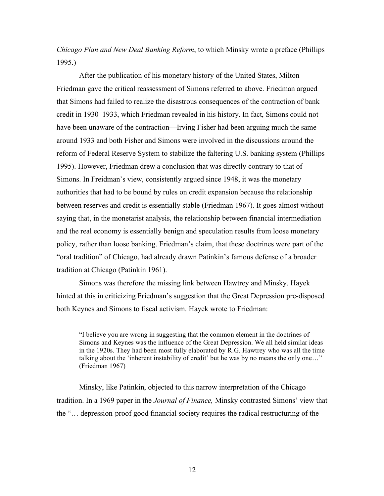*Chicago Plan and New Deal Banking Reform*, to which Minsky wrote a preface (Phillips 1995.)

After the publication of his monetary history of the United States, Milton Friedman gave the critical reassessment of Simons referred to above. Friedman argued that Simons had failed to realize the disastrous consequences of the contraction of bank credit in 1930–1933, which Friedman revealed in his history. In fact, Simons could not have been unaware of the contraction—Irving Fisher had been arguing much the same around 1933 and both Fisher and Simons were involved in the discussions around the reform of Federal Reserve System to stabilize the faltering U.S. banking system (Phillips 1995). However, Friedman drew a conclusion that was directly contrary to that of Simons. In Freidman's view, consistently argued since 1948, it was the monetary authorities that had to be bound by rules on credit expansion because the relationship between reserves and credit is essentially stable (Friedman 1967). It goes almost without saying that, in the monetarist analysis, the relationship between financial intermediation and the real economy is essentially benign and speculation results from loose monetary policy, rather than loose banking. Friedman's claim, that these doctrines were part of the "oral tradition" of Chicago, had already drawn Patinkin's famous defense of a broader tradition at Chicago (Patinkin 1961).

Simons was therefore the missing link between Hawtrey and Minsky. Hayek hinted at this in criticizing Friedman's suggestion that the Great Depression pre-disposed both Keynes and Simons to fiscal activism. Hayek wrote to Friedman:

"I believe you are wrong in suggesting that the common element in the doctrines of Simons and Keynes was the influence of the Great Depression. We all held similar ideas in the 1920s. They had been most fully elaborated by R.G. Hawtrey who was all the time talking about the 'inherent instability of credit' but he was by no means the only one…" (Friedman 1967)

Minsky, like Patinkin, objected to this narrow interpretation of the Chicago tradition. In a 1969 paper in the *Journal of Finance,* Minsky contrasted Simons' view that the "… depression-proof good financial society requires the radical restructuring of the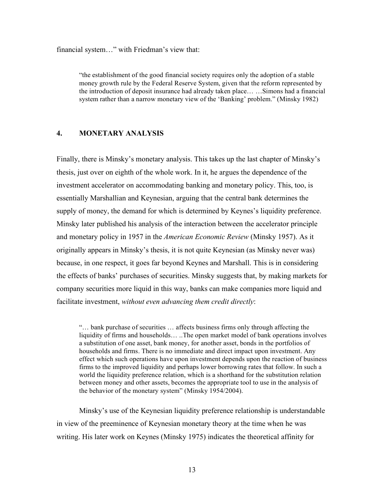financial system…" with Friedman's view that:

"the establishment of the good financial society requires only the adoption of a stable money growth rule by the Federal Reserve System, given that the reform represented by the introduction of deposit insurance had already taken place… …Simons had a financial system rather than a narrow monetary view of the 'Banking' problem." (Minsky 1982)

## **4. MONETARY ANALYSIS**

Finally, there is Minsky's monetary analysis. This takes up the last chapter of Minsky's thesis, just over on eighth of the whole work. In it, he argues the dependence of the investment accelerator on accommodating banking and monetary policy. This, too, is essentially Marshallian and Keynesian, arguing that the central bank determines the supply of money, the demand for which is determined by Keynes's liquidity preference. Minsky later published his analysis of the interaction between the accelerator principle and monetary policy in 1957 in the *American Economic Review* (Minsky 1957). As it originally appears in Minsky's thesis, it is not quite Keynesian (as Minsky never was) because, in one respect, it goes far beyond Keynes and Marshall. This is in considering the effects of banks' purchases of securities. Minsky suggests that, by making markets for company securities more liquid in this way, banks can make companies more liquid and facilitate investment, *without even advancing them credit directly*:

"… bank purchase of securities … affects business firms only through affecting the liquidity of firms and households… ..The open market model of bank operations involves a substitution of one asset, bank money, for another asset, bonds in the portfolios of households and firms. There is no immediate and direct impact upon investment. Any effect which such operations have upon investment depends upon the reaction of business firms to the improved liquidity and perhaps lower borrowing rates that follow. In such a world the liquidity preference relation, which is a shorthand for the substitution relation between money and other assets, becomes the appropriate tool to use in the analysis of the behavior of the monetary system" (Minsky 1954/2004).

Minsky's use of the Keynesian liquidity preference relationship is understandable in view of the preeminence of Keynesian monetary theory at the time when he was writing. His later work on Keynes (Minsky 1975) indicates the theoretical affinity for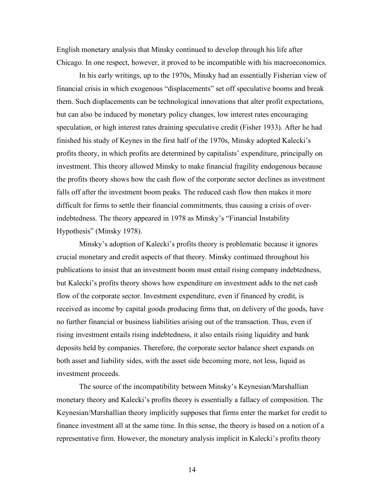English monetary analysis that Minsky continued to develop through his life after Chicago. In one respect, however, it proved to be incompatible with his macroeconomics.

In his early writings, up to the 1970s, Minsky had an essentially Fisherian view of financial crisis in which exogenous "displacements" set off speculative booms and break them. Such displacements can be technological innovations that alter profit expectations, but can also be induced by monetary policy changes, low interest rates encouraging speculation, or high interest rates draining speculative credit (Fisher 1933). After he had finished his study of Keynes in the first half of the 1970s, Minsky adopted Kalecki's profits theory, in which profits are determined by capitalists' expenditure, principally on investment. This theory allowed Minsky to make financial fragility endogenous because the profits theory shows how the cash flow of the corporate sector declines as investment falls off after the investment boom peaks. The reduced cash flow then makes it more difficult for firms to settle their financial commitments, thus causing a crisis of overindebtedness. The theory appeared in 1978 as Minsky's "Financial Instability Hypothesis" (Minsky 1978).

Minsky's adoption of Kalecki's profits theory is problematic because it ignores crucial monetary and credit aspects of that theory. Minsky continued throughout his publications to insist that an investment boom must entail rising company indebtedness, but Kalecki's profits theory shows how expenditure on investment adds to the net cash flow of the corporate sector. Investment expenditure, even if financed by credit, is received as income by capital goods producing firms that, on delivery of the goods, have no further financial or business liabilities arising out of the transaction. Thus, even if rising investment entails rising indebtedness, it also entails rising liquidity and bank deposits held by companies. Therefore, the corporate sector balance sheet expands on both asset and liability sides, with the asset side becoming more, not less, liquid as investment proceeds.

The source of the incompatibility between Minsky's Keynesian/Marshallian monetary theory and Kalecki's profits theory is essentially a fallacy of composition. The Keynesian/Marshallian theory implicitly supposes that firms enter the market for credit to finance investment all at the same time. In this sense, the theory is based on a notion of a representative firm. However, the monetary analysis implicit in Kalecki's profits theory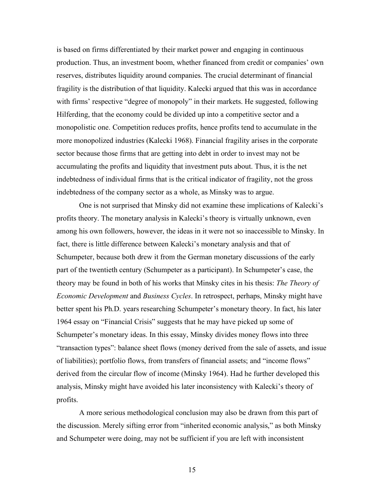is based on firms differentiated by their market power and engaging in continuous production. Thus, an investment boom, whether financed from credit or companies' own reserves, distributes liquidity around companies. The crucial determinant of financial fragility is the distribution of that liquidity. Kalecki argued that this was in accordance with firms' respective "degree of monopoly" in their markets. He suggested, following Hilferding, that the economy could be divided up into a competitive sector and a monopolistic one. Competition reduces profits, hence profits tend to accumulate in the more monopolized industries (Kalecki 1968). Financial fragility arises in the corporate sector because those firms that are getting into debt in order to invest may not be accumulating the profits and liquidity that investment puts about. Thus, it is the net indebtedness of individual firms that is the critical indicator of fragility, not the gross indebtedness of the company sector as a whole, as Minsky was to argue.

One is not surprised that Minsky did not examine these implications of Kalecki's profits theory. The monetary analysis in Kalecki's theory is virtually unknown, even among his own followers, however, the ideas in it were not so inaccessible to Minsky. In fact, there is little difference between Kalecki's monetary analysis and that of Schumpeter, because both drew it from the German monetary discussions of the early part of the twentieth century (Schumpeter as a participant). In Schumpeter's case, the theory may be found in both of his works that Minsky cites in his thesis: *The Theory of Economic Development* and *Business Cycles*. In retrospect, perhaps, Minsky might have better spent his Ph.D. years researching Schumpeter's monetary theory. In fact, his later 1964 essay on "Financial Crisis" suggests that he may have picked up some of Schumpeter's monetary ideas. In this essay, Minsky divides money flows into three "transaction types": balance sheet flows (money derived from the sale of assets, and issue of liabilities); portfolio flows, from transfers of financial assets; and "income flows" derived from the circular flow of income (Minsky 1964). Had he further developed this analysis, Minsky might have avoided his later inconsistency with Kalecki's theory of profits.

A more serious methodological conclusion may also be drawn from this part of the discussion. Merely sifting error from "inherited economic analysis," as both Minsky and Schumpeter were doing, may not be sufficient if you are left with inconsistent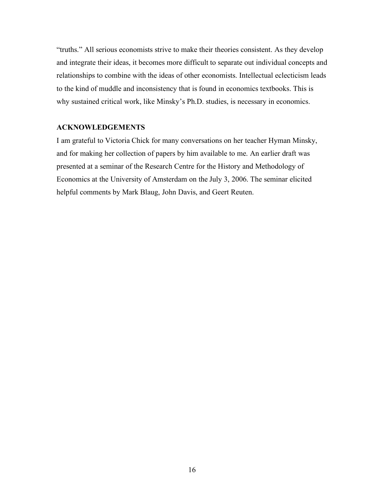"truths." All serious economists strive to make their theories consistent. As they develop and integrate their ideas, it becomes more difficult to separate out individual concepts and relationships to combine with the ideas of other economists. Intellectual eclecticism leads to the kind of muddle and inconsistency that is found in economics textbooks. This is why sustained critical work, like Minsky's Ph.D. studies, is necessary in economics.

# **ACKNOWLEDGEMENTS**

I am grateful to Victoria Chick for many conversations on her teacher Hyman Minsky, and for making her collection of papers by him available to me. An earlier draft was presented at a seminar of the Research Centre for the History and Methodology of Economics at the University of Amsterdam on the July 3, 2006. The seminar elicited helpful comments by Mark Blaug, John Davis, and Geert Reuten.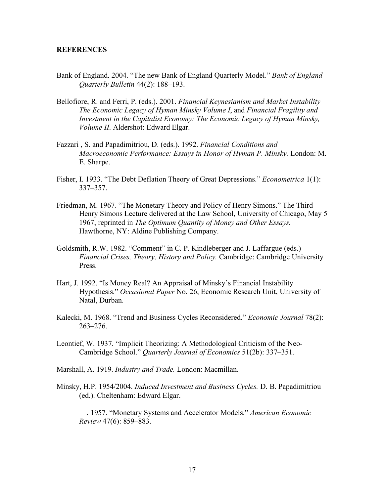#### **REFERENCES**

- Bank of England. 2004. "The new Bank of England Quarterly Model." *Bank of England Quarterly Bulletin* 44(2): 188–193.
- Bellofiore, R. and Ferri, P. (eds.). 2001. *Financial Keynesianism and Market Instability The Economic Legacy of Hyman Minsky Volume I*, and *Financial Fragility and Investment in the Capitalist Economy: The Economic Legacy of Hyman Minsky, Volume II*. Aldershot: Edward Elgar.
- Fazzari , S. and Papadimitriou, D. (eds.). 1992. *Financial Conditions and Macroeconomic Performance: Essays in Honor of Hyman P. Minsky.* London: M. E. Sharpe.
- Fisher, I. 1933. "The Debt Deflation Theory of Great Depressions." *Econometrica* 1(1): 337–357.
- Friedman, M. 1967. "The Monetary Theory and Policy of Henry Simons." The Third Henry Simons Lecture delivered at the Law School, University of Chicago, May 5 1967, reprinted in *The Optimum Quantity of Money and Other Essays.* Hawthorne, NY: Aldine Publishing Company.
- Goldsmith, R.W. 1982. "Comment" in C. P. Kindleberger and J. Laffargue (eds.) *Financial Crises, Theory, History and Policy.* Cambridge: Cambridge University Press.
- Hart, J. 1992. "Is Money Real? An Appraisal of Minsky's Financial Instability Hypothesis." *Occasional Paper* No. 26, Economic Research Unit, University of Natal, Durban.
- Kalecki, M. 1968. "Trend and Business Cycles Reconsidered." *Economic Journal* 78(2): 263–276.
- Leontief, W. 1937. "Implicit Theorizing: A Methodological Criticism of the Neo-Cambridge School." *Quarterly Journal of Economics* 51(2b): 337–351.
- Marshall, A. 1919. *Industry and Trade.* London: Macmillan.
- Minsky, H.P. 1954/2004. *Induced Investment and Business Cycles.* D. B. Papadimitriou (ed.). Cheltenham: Edward Elgar.
	- ————. 1957. "Monetary Systems and Accelerator Models." *American Economic Review* 47(6): 859–883.